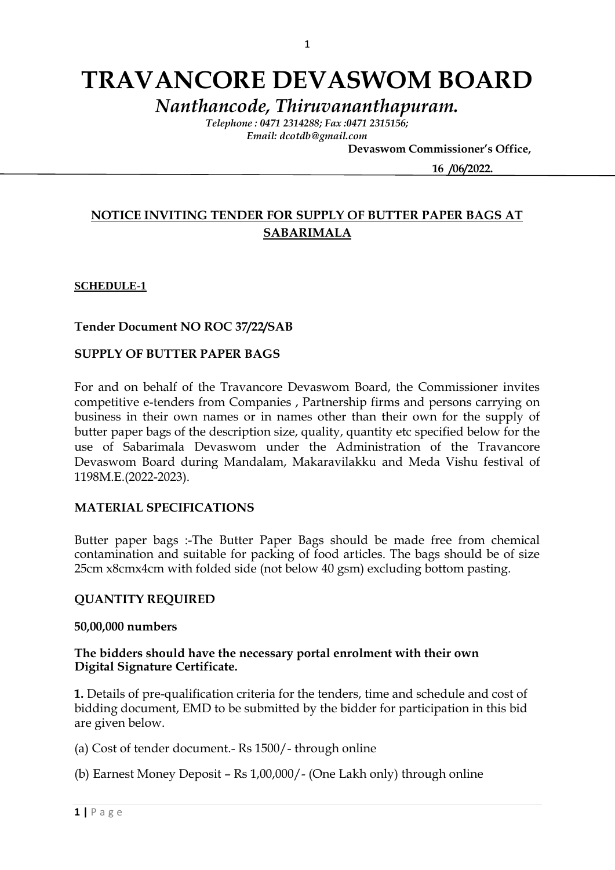# **TRAVANCORE DEVASWOM BOARD**

*Nanthancode, Thiruvananthapuram.*

*Telephone : 0471 2314288; Fax :0471 2315156; Email: dcotdb@gmail.com*

 **Devaswom Commissioner's Office,**

 **16 /06/2022.**

# **NOTICE INVITING TENDER FOR SUPPLY OF BUTTER PAPER BAGS AT SABARIMALA**

# **SCHEDULE-1**

**Tender Document NO ROC 37/22/SAB**

# **SUPPLY OF BUTTER PAPER BAGS**

For and on behalf of the Travancore Devaswom Board, the Commissioner invites competitive e-tenders from Companies , Partnership firms and persons carrying on business in their own names or in names other than their own for the supply of butter paper bags of the description size, quality, quantity etc specified below for the use of Sabarimala Devaswom under the Administration of the Travancore Devaswom Board during Mandalam, Makaravilakku and Meda Vishu festival of 1198M.E.(2022-2023).

#### **MATERIAL SPECIFICATIONS**

Butter paper bags :-The Butter Paper Bags should be made free from chemical contamination and suitable for packing of food articles. The bags should be of size 25cm x8cmx4cm with folded side (not below 40 gsm) excluding bottom pasting.

#### **QUANTITY REQUIRED**

#### **50,00,000 numbers**

# **The bidders should have the necessary portal enrolment with their own Digital Signature Certificate.**

**1.** Details of pre-qualification criteria for the tenders, time and schedule and cost of bidding document, EMD to be submitted by the bidder for participation in this bid are given below.

(a) Cost of tender document.- Rs 1500/- through online

(b) Earnest Money Deposit – Rs 1,00,000/- (One Lakh only) through online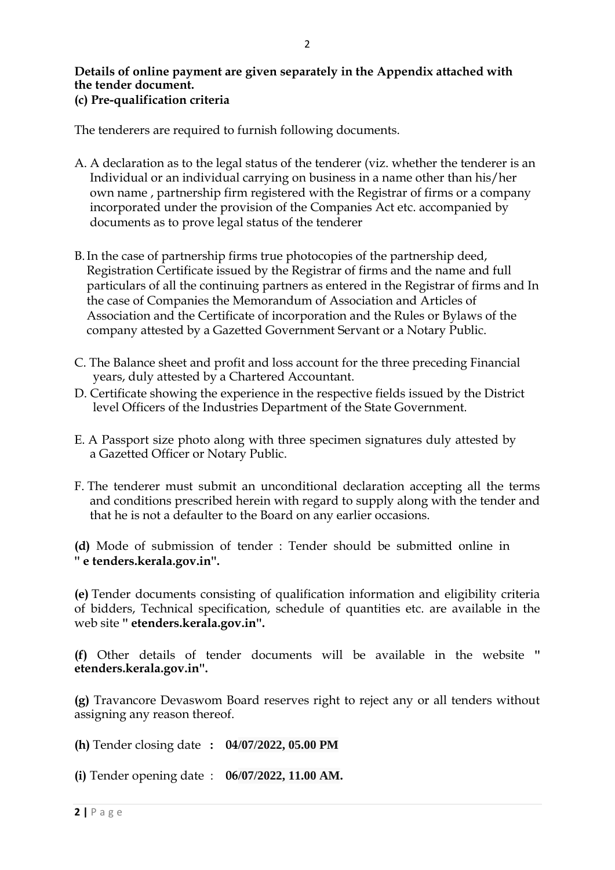# **Details of online payment are given separately in the Appendix attached with the tender document. (c) Pre-qualification criteria**

The tenderers are required to furnish following documents.

- A. A declaration as to the legal status of the tenderer (viz. whether the tenderer is an Individual or an individual carrying on business in a name other than his/her own name , partnership firm registered with the Registrar of firms or a company incorporated under the provision of the Companies Act etc. accompanied by documents as to prove legal status of the tenderer
- B.In the case of partnership firms true photocopies of the partnership deed, Registration Certificate issued by the Registrar of firms and the name and full particulars of all the continuing partners as entered in the Registrar of firms and In the case of Companies the Memorandum of Association and Articles of Association and the Certificate of incorporation and the Rules or Bylaws of the company attested by a Gazetted Government Servant or a Notary Public.
- C. The Balance sheet and profit and loss account for the three preceding Financial years, duly attested by a Chartered Accountant.
- D. Certificate showing the experience in the respective fields issued by the District level Officers of the Industries Department of the State Government.
- E. A Passport size photo along with three specimen signatures duly attested by a Gazetted Officer or Notary Public.
- F. The tenderer must submit an unconditional declaration accepting all the terms and conditions prescribed herein with regard to supply along with the tender and that he is not a defaulter to the Board on any earlier occasions.

**(d)** Mode of submission of tender : Tender should be submitted online in **'' e tenders.kerala.gov.in''.**

**(e)** Tender documents consisting of qualification information and eligibility criteria of bidders, Technical specification, schedule of quantities etc. are available in the web site **'' etenders.kerala.gov.in''.**

**(f)** Other details of tender documents will be available in the website **'' etenders.kerala.gov.in''.** 

**(g)** Travancore Devaswom Board reserves right to reject any or all tenders without assigning any reason thereof.

**(h)** Tender closing date **: 04/07/2022, 05.00 PM**

**(i)** Tender opening date : **06/07/2022, 11.00 AM.**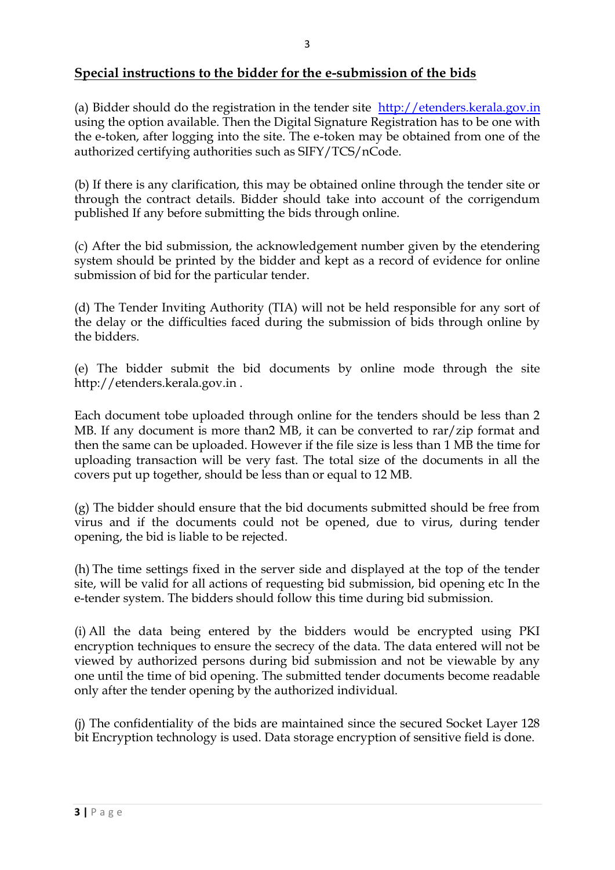(a) Bidder should do the registration in the tender site [http://etenders.kerala.gov.in](http://etenders.kerala.gov.in/) using the option available. Then the Digital Signature Registration has to be one with the e-token, after logging into the site. The e-token may be obtained from one of the authorized certifying authorities such as SIFY/TCS/nCode.

(b) If there is any clarification, this may be obtained online through the tender site or through the contract details. Bidder should take into account of the corrigendum published If any before submitting the bids through online.

(c) After the bid submission, the acknowledgement number given by the etendering system should be printed by the bidder and kept as a record of evidence for online submission of bid for the particular tender.

(d) The Tender Inviting Authority (TIA) will not be held responsible for any sort of the delay or the difficulties faced during the submission of bids through online by the bidders.

(e) The bidder submit the bid documents by online mode through the site http://etenders.kerala.gov.in .

Each document tobe uploaded through online for the tenders should be less than 2 MB. If any document is more than2 MB, it can be converted to rar/zip format and then the same can be uploaded. However if the file size is less than 1 MB the time for uploading transaction will be very fast. The total size of the documents in all the covers put up together, should be less than or equal to 12 MB.

(g) The bidder should ensure that the bid documents submitted should be free from virus and if the documents could not be opened, due to virus, during tender opening, the bid is liable to be rejected.

(h) The time settings fixed in the server side and displayed at the top of the tender site, will be valid for all actions of requesting bid submission, bid opening etc In the e-tender system. The bidders should follow this time during bid submission.

(i) All the data being entered by the bidders would be encrypted using PKI encryption techniques to ensure the secrecy of the data. The data entered will not be viewed by authorized persons during bid submission and not be viewable by any one until the time of bid opening. The submitted tender documents become readable only after the tender opening by the authorized individual.

(j) The confidentiality of the bids are maintained since the secured Socket Layer 128 bit Encryption technology is used. Data storage encryption of sensitive field is done.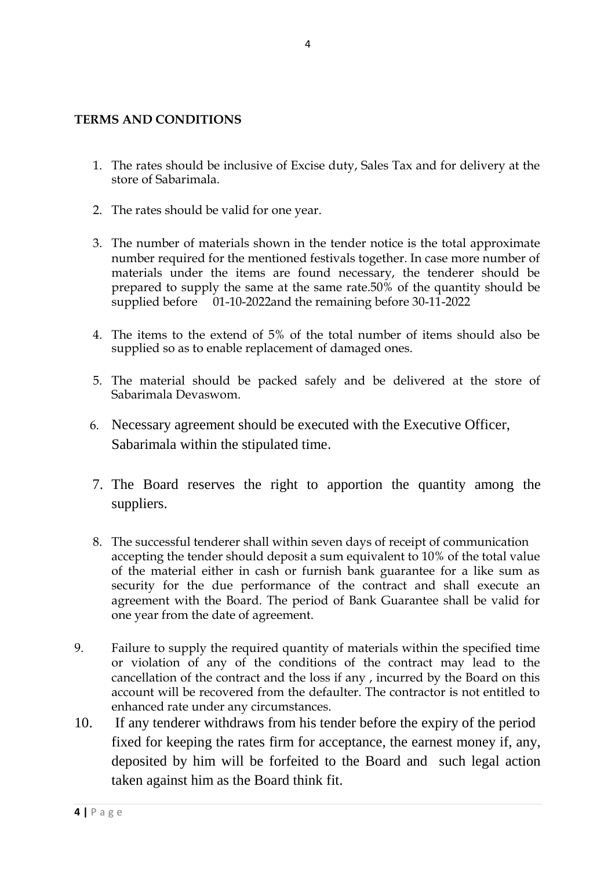# **TERMS AND CONDITIONS**

- 1. The rates should be inclusive of Excise duty, Sales Tax and for delivery at the store of Sabarimala.
- 2. The rates should be valid for one year.
- 3. The number of materials shown in the tender notice is the total approximate number required for the mentioned festivals together. In case more number of materials under the items are found necessary, the tenderer should be prepared to supply the same at the same rate.50% of the quantity should be supplied before 01-10-2022and the remaining before 30-11-2022
- 4. The items to the extend of 5% of the total number of items should also be supplied so as to enable replacement of damaged ones.
- 5. The material should be packed safely and be delivered at the store of Sabarimala Devaswom.
- 6. Necessary agreement should be executed with the Executive Officer, Sabarimala within the stipulated time.
- 7. The Board reserves the right to apportion the quantity among the suppliers.
- 8. The successful tenderer shall within seven days of receipt of communication accepting the tender should deposit a sum equivalent to 10% of the total value of the material either in cash or furnish bank guarantee for a like sum as security for the due performance of the contract and shall execute an agreement with the Board. The period of Bank Guarantee shall be valid for one year from the date of agreement.
- 9. Failure to supply the required quantity of materials within the specified time or violation of any of the conditions of the contract may lead to the cancellation of the contract and the loss if any , incurred by the Board on this account will be recovered from the defaulter. The contractor is not entitled to enhanced rate under any circumstances.
- 10. If any tenderer withdraws from his tender before the expiry of the period fixed for keeping the rates firm for acceptance, the earnest money if, any, deposited by him will be forfeited to the Board and such legal action taken against him as the Board think fit.